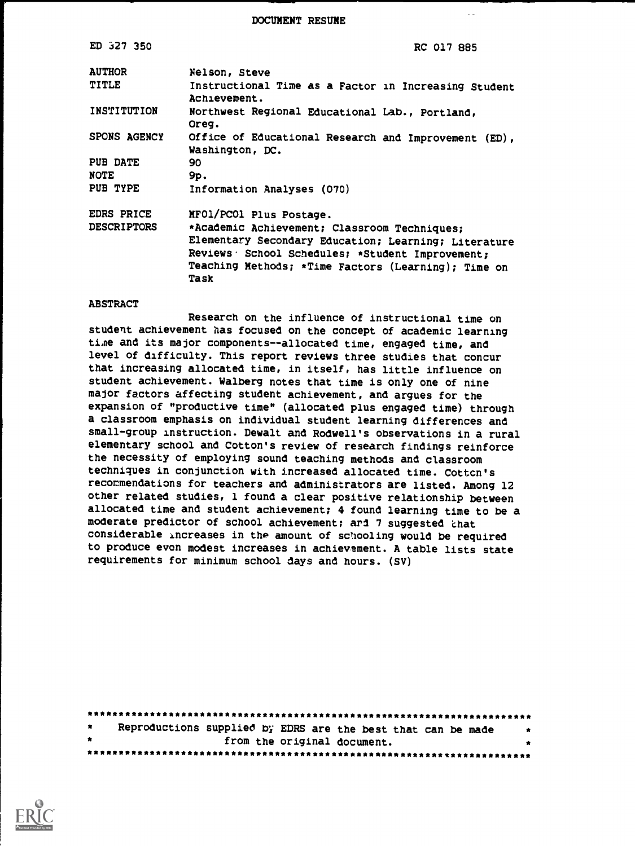DOCUMENT RESUME

 $\sim$   $\omega$ 

| ED 327 350         | RC 017 885                                                              |  |  |
|--------------------|-------------------------------------------------------------------------|--|--|
| <b>AUTHOR</b>      | Nelson, Steve                                                           |  |  |
| TITLE              | Instructional Time as a Factor in Increasing Student<br>Achievement.    |  |  |
| INSTITUTION        | Northwest Regional Educational Lab., Portland,<br>Oreg.                 |  |  |
| SPONS AGENCY       | Office of Educational Research and Improvement (ED),<br>Washington, DC. |  |  |
| PUB DATE           | 90                                                                      |  |  |
| <b>NOTE</b>        | 9p.                                                                     |  |  |
| PUB TYPE           | Information Analyses (070)                                              |  |  |
| EDRS PRICE         | MFO1/PCO1 Plus Postage.                                                 |  |  |
| <b>DESCRIPTORS</b> | *Academic Achievement; Classroom Techniques;                            |  |  |
|                    | Elementary Secondary Education; Learning; Literature                    |  |  |
|                    | Reviews School Schedules; *Student Improvement;                         |  |  |
|                    | Teaching Methods; *Time Factors (Learning); Time on<br>Task             |  |  |

### ABSTRACT

Research on the influence of instructional time on student achievement has focused on the concept of academic learning ti.ne and its major components--allocated time, engaged time, and level of difficulty. This report reviews three studies that concur that increasing allocated time, in itself, has little influence on student achievement. Walberg notes that time is only one of nine major factors affecting student achievement, and argues for the expansion of "productive time" (allocated plus engaged time) through a classroom emphasis on individual student learning differences and small-group instruction. Dewalt and Rodwell's observations in a rural elementary school and Cotton's review of research findings reinforce the necessity of employing sound teaching methods and classroom techniques in conjunction with increased allocated time. Cottcn's recocmendations for teachers and administrators are listed. Among 12 other related studies, 1 found a clear positive relationship between allocated time and student achievement; 4 found learning time to be a moderate predictor of school achievement; arl 7 suggested 'chat considerable increases in the amount of schooling would be required to produce even modest increases in achievement. A table lists state requirements for minimum school days and hours. (SV)

| $\bullet$ | Reproductions supplied by EDRS are the best that can be made | . . |
|-----------|--------------------------------------------------------------|-----|
| $\bullet$ | from the original document.                                  |     |
|           |                                                              |     |

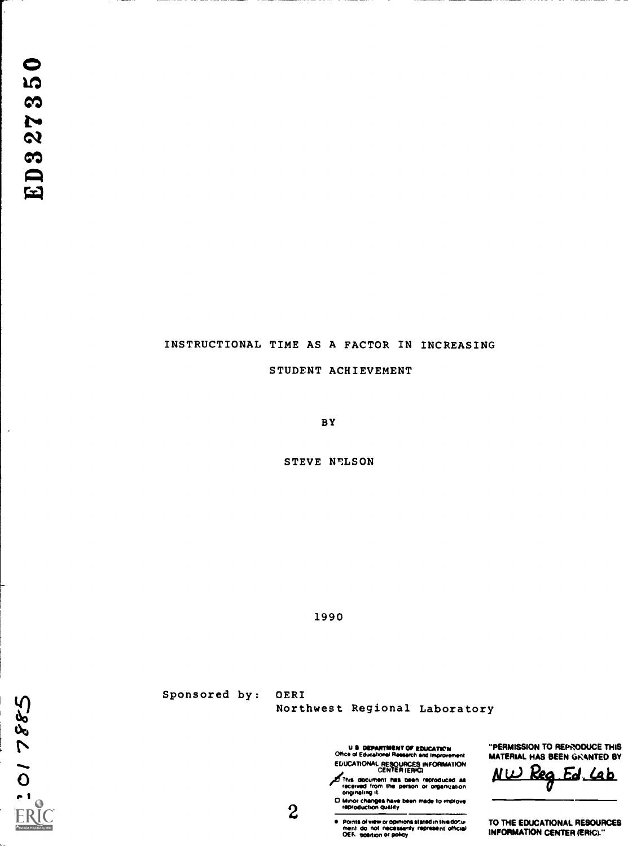## INSTRUCTIONAL TIME AS A FACTOR IN INCREASING

STUDENT ACHIEVEMENT

BY

STEVE NELSON

1990

 $38821101$ ERIC Full Text Provided by ERIC

÷,

Sponsored by: OERI Northwest Regional Laboratory

> U & DEPARTMENT OF EDUCATION THE "PERTHERE OF FINITE IN ATT EDUCATIONAL RESOURCES INFORMATION<br>CENTER (ERIC) 4

This document has been reproduced as<br>received from the person or organization<br>originating it.<br>O Minor changes have been made to improve

C Minor changes have been made to improve<br>reproduction quality

2<br>
Points of view or opinions stated in this document of or optimons<br>
ment do not necessarily represent official<br>
OES seeding or policy

"PERMISSION TO REPRODUCE THIS MATERIAL HAS BEEN GRANTED BY

 $N$ W Reg Ed, Lab

TO THE EDUCATIONAL RESOURCES INFORMATION CENTER (ERIC)."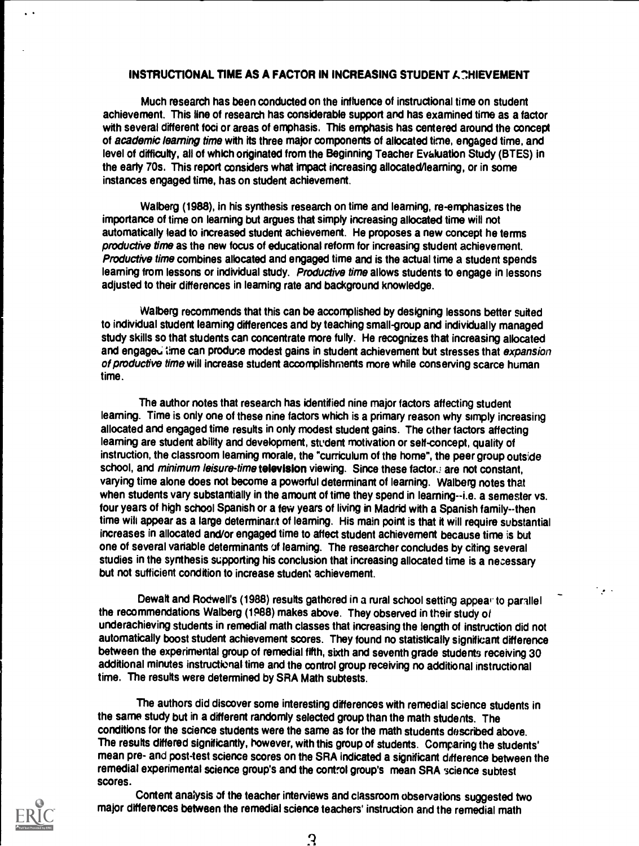# INSTRUCTIONAL TIME AS A FACTOR IN INCREASING STUDENT A CHIEVEMENT

Much research has been conducted on the influence of instructional time on student achievement. This line of research has considerable support and has examined time as a factor with several different foci or areas of emphasis. This emphasis has centered around the concept of academic learning time with its three major components of allocated time, engaged time, and level of difficulty, all of which originated from the Beginning Teacher Evaluation Study (BTES) in the early 70s. This report considers what impact increasing allocated/learning, or in some instances engaged time, has on student achievement.

Walberg (1988), in his synthesis research on time and learning, re-emphasizes the importance of time on learning but argues that simply increasing allocated time will not automatically lead to increased student achievement. He proposes a new concept he terms productive time as the new focus of educational reform for increasing student achievement. Productive time combines allocated and engaged time and is the actual time a student spends leaming from lessons or individual study. Productive time allows students to engage in lessons adjusted to their differences in leaming rate and background knowledge.

Walberg recommends that this can be accomplished by designing lessons better suited to individual student leaming differences and by teaching small-group and individually managed study skills so that students can concentrate more fully. He recognizes that increasing allocated and engaged time can produce modest gains in student achievement but stresses that expansion of productive time will increase student accomplishments more while conserving scarce human time.

The author notes that research has identified nine major factors affecting student leaming. Time is only one of these nine factors which is a primary reason why simply increasing allocated and engaged time results in only modest student gains. The other factors affecting leaming are student ability and development, student motivation or self-concept, quality of instruction, the classroom leaming morale, the "curriculum of the home", the peer group outside school, and minimum leisure-time television viewing. Since these factor are not constant, varying time alone does not become a powerful determinant of learning. Walberg notes that when students vary substantially in the amount of time they spend in learning--i.e. a semester vs. four years of high school Spanish or a few years of living in Madrid with a Spanish family--then time wib appear as a large determinart of leaming. His main point is that it will require substantial increases in allocated and/or engaged time to affect student achievement because time is but one of several variable determinants of leaming. The researcher concludes by citing several studies in the synthesis supporting his conclusion that increasing allocated time is a necessary but not sufficient condition to increase student achievement.

Dewalt and Rodwell's (1988) results gathered in a rural school setting appear to parallel the recommendations Walberg (1P88) makes above. They observed in their study of underachieving students in remedial math classes that increasing the length of instruction did not automatically boost student achievement scores. They found no statistically significant difference between the experimental group of remedial fifth, sixth and seventh grade students receiving 30 additional minutes instructional time and the control group receiving no additional instructional time. The results were determined by SRA Math subtests.

 $\mathcal{L}_{\mathcal{F}}$  .

The authors did discover some interesting differences with remedial science students in the same study but in a different randomly selected group than the math students. The conditions for the science students were the same as for the math students described above. The results differed significantly, however, with this group of students. Comparing the students' mean pre- and post-test science scores on the SRA indicated a significant difference between the remedial experimental science group's and the control group's mean SRA science subtest scores.



 $\mathbf{r}$ 

Content analysis of the teacher interviews and classroom observations suggested two major differences between the remedial science teachers' instruction and the remedial math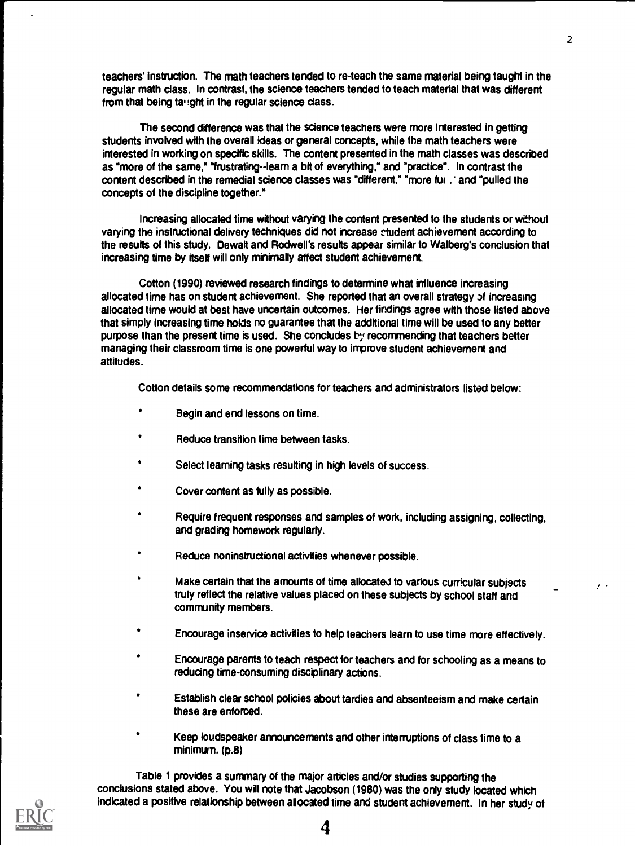teachers' instruction. The math teachers tended to re-teach the same material being taught in the regular math dass. In contrast, the science teachers tended to teach material that was different from that being ta :: ght in the regular science class.

The second difference was that the science teachers were more interested in getting students involved with the overall ideas or general concepts, while the math teachers were interested in working on specific skills. The content presented in the math classes was described as "more of the same," "frustrating--learn a bit of everything," and 'practice". In contrast the content described in the remedial science classes was "different," "more fui ,' and "pulled the concepts of the discipline together."

Increasing allocated time without varying the content presented to the students or without varying the instructional delivery techniques did not increase rtudent achievement according to the results of this study. Dewalt and Rodwell's results appear similar to Walberg's conclusion that increasing time by itself will only minimally affect student achievement.

Cotton (1990) reviewed research findings to determine what influence increasing allocated time has on student achievement. She reported that an overall strategy of increasing allocated time would at best have uncertain outcomes. Her findings agree with those listed above that simply increasing time holds no guarantee that the additional time will be used to any better purpose than the present time is used. She concludes by recommending that teachers better managing their classroom time is one powerful way to improve student achievement and attitudes.

Cotton details some recommendations for teachers and administrators listed below:

- Begin and end lessons on time.
- Reduce transition time between tasks.
- Select learning tasks resulting in high levels of success.
- Cover content as fully as possible.
- . Require frequent responses and samples of work, including assigning, collecting, and grading homework regularly.
- . Reduce noninstructional activities whenever possible.
- Make certain that the amounts of time allocated to various curricular subjects truly reflect the relative values placed on these subjects by school staff and community members.
- . Encourage inservice activities to help teachers learn to use time more effectively.
- Encourage parents to teach respect for teachers and for schooling as a means to reducing time-consuming disciplinary actions.
- . Establish clear school policies about tardies and absenteeism and make certain these are enforced.
- Keep loudspeaker announcements and other interruptions of class time to a minimum. (p.8)

Table 1 provides a summary of the major articles and/or studies supporting the conclusions stated above. You will note that Jacobson (1980) was the only study located which indicated a positive relationship between allocated time and student achievement. In her study of



 $\mathbf{L}^{\text{max}}$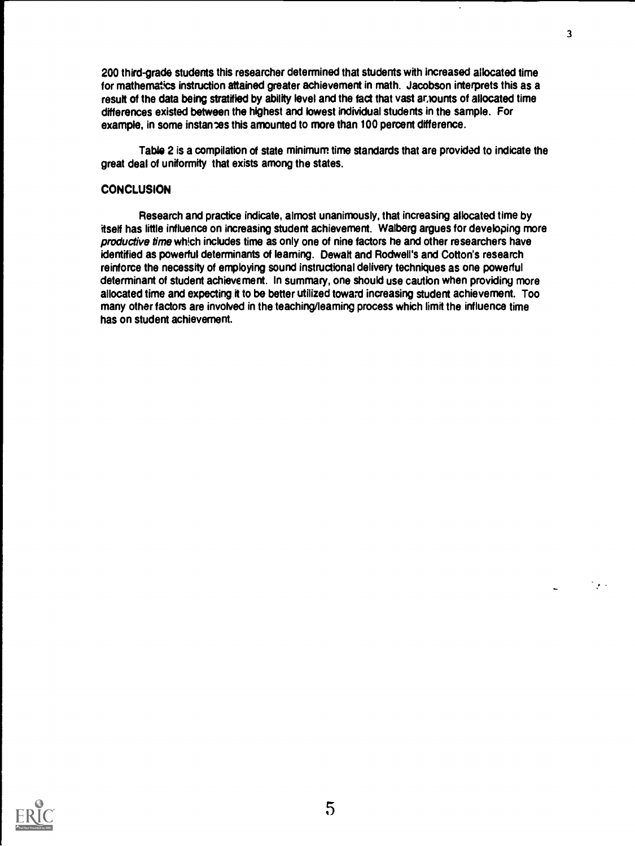200 third-grade students this researcher determined that students with increased allocated time for mathematics instruction attained greater achievement in math. Jacobson interprets this as a result of the data being stratified by ability level and the fact that vast announts of allocated time differences existed between the highest and lowest individual students in the sample. For example, in some instances this amounted to more than 100 percent difference.

Table 2 is a compilation of state minimum time standards that are provided to indicate the great deal of uniformity that exists among the states.

## **CONCLUSION**

Research and practice indicate, almost unanimously, that increasing allocated time by itself has little influence on increasing student achievement. Walberg argues for developing more productive time which includes time as only one of nine factors he and other researchers have identified as powerful determinants of learning. Dewalt and Rodwell's and Cotton's research reinforce the necessity of employing sound instructional delivery techniques as one powerful determinant of student achievement. In summary, one should use caution when providing more allocated time and expecting it to be better utilized toward increasing student achievement. Too many other factors are involved in the teaching/leaming process which limit the influence time has on student achievement.



 $\Box$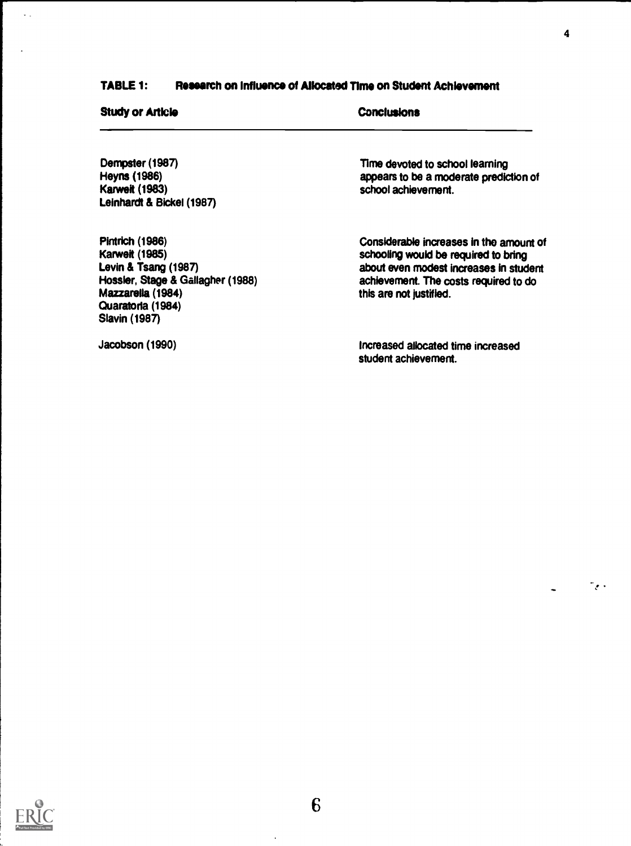# TABLE 1: Research on Influence of Allocated Time on Student Achievement

| <b>Study or Article</b>                                                                                                                                                        | Conclusions                                                                                                                                                                                   |  |
|--------------------------------------------------------------------------------------------------------------------------------------------------------------------------------|-----------------------------------------------------------------------------------------------------------------------------------------------------------------------------------------------|--|
| Dempster (1987)<br>Heyns (1986)                                                                                                                                                | Time devoted to school learning<br>appears to be a moderate prediction of                                                                                                                     |  |
| <b>Karweit (1983)</b><br>Leinhardt & Bickel (1987)                                                                                                                             | school achievement.                                                                                                                                                                           |  |
| <b>Pintrich (1986)</b><br><b>Karweit (1985)</b><br>Levin & Tsang (1987)<br>Hossier, Stage & Gallagher (1988)<br>Mazzarella (1984)<br>Quaratoria (1984)<br><b>Slavin (1987)</b> | Considerable increases in the amount of<br>schooling would be required to bring<br>about even modest increases in student<br>achievement. The costs required to do<br>this are not justified. |  |
| Jacobson (1990)                                                                                                                                                                | Increased allocated time increased<br>student achievement.                                                                                                                                    |  |

 $\sim$   $\downarrow$ 

i.

 $\langle \cdot \rangle$ 

 $\frac{1}{2}$   $\frac{1}{2}$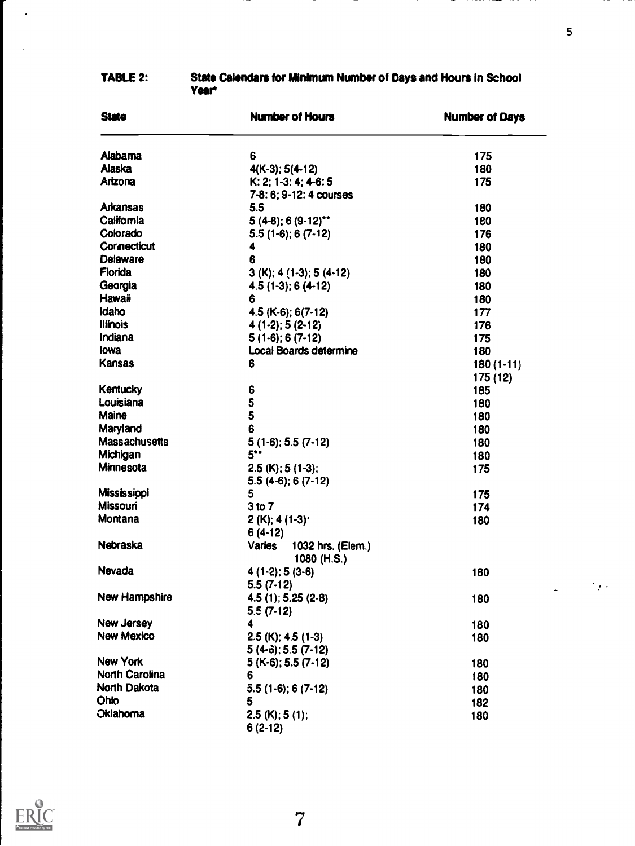| <b>State</b>          | <b>Number of Hours</b>                     | <b>Number of Days</b> |
|-----------------------|--------------------------------------------|-----------------------|
| Alabama               | 6                                          | 175                   |
| <b>Alaska</b>         | $4(K-3)$ ; 5(4-12)                         | 180                   |
| Arizona               | K: 2; 1-3: 4; 4-6: 5                       | 175                   |
|                       | 7-8: 6; 9-12: 4 courses                    |                       |
| <b>Arkansas</b>       | 5.5                                        | 180                   |
| California            | $5(4-8)$ ; 6 $(9-12)$ **                   | 180                   |
| Colorado              | $5.5(1-6)$ ; 6 $(7-12)$                    | 176                   |
| <b>Connecticut</b>    | 4                                          | 180                   |
| Delaware              | 6                                          | 180                   |
| Florida               | $3(K); 4(1-3); 5(4-12)$                    | 180                   |
| Georgia               | $4.5(1-3); 6(4-12)$                        | 180                   |
| Hawaii                | 6                                          | 180                   |
| <b>Idaho</b>          | 4.5 (K-6); 6(7-12)                         | 177                   |
| <b>Illinois</b>       | $4(1-2)$ ; 5 (2-12)                        | 176                   |
| Indiana               | $5(1-6); 6(7-12)$                          | 175                   |
| lowa                  | <b>Local Boards determine</b>              | 180                   |
| <b>Kansas</b>         | 6                                          | $180(1-11)$           |
|                       |                                            | 175 (12)              |
| <b>Kentucky</b>       | 6                                          | 185                   |
| Louisiana             | 5                                          | 180                   |
| Maine                 | 5                                          | 180                   |
| Maryland              | 6                                          | 180                   |
| Massachusetts         | $5(1-6)$ ; 5.5 $(7-12)$                    | 180                   |
| Michigan              | 5                                          | 180                   |
| Minnesota             | $2.5$ (K); 5 (1-3);                        | 175                   |
|                       | $5.5(4-6); 6(7-12)$                        |                       |
| <b>Mississippi</b>    | 5                                          | 175                   |
| <b>Missouri</b>       | 3 to 7                                     | 174                   |
| Montana               | $2(K); 4(1-3)$                             | 180                   |
|                       | $6(4-12)$                                  |                       |
| Nebraska              | Varies<br>1032 hrs. (Elem.)<br>1080 (H.S.) |                       |
| Nevada                | $4(1-2)$ ; 5 $(3-6)$                       | 180                   |
|                       | $5.5(7-12)$                                |                       |
| New Hampshire         | 4.5 (1); 5.25 (2-8)                        | 180                   |
|                       | $5.5(7-12)$                                |                       |
| New Jersey            | 4                                          | 180                   |
| <b>New Mexico</b>     | $2.5$ (K); 4.5 (1-3)                       | 180                   |
|                       | $5(4-6)$ ; 5.5 (7-12)                      |                       |
| New York              | $5(K-6)$ ; 5.5 (7-12)                      | 180                   |
| <b>North Carolina</b> | 6                                          | 180                   |
| North Dakota          | $5.5(1-6)$ ; 6 $(7-12)$                    | 180                   |
| <b>Ohio</b>           | 5                                          | 182                   |
| Oklahoma              | $2.5$ (K); 5 (1);                          | 180                   |
|                       | $6(2-12)$                                  |                       |

#### TABLE 2: State Calendars for Minimum Number of Days and Hours In School Year



 $\ddot{\phantom{1}}$ 

 $\frac{1}{2} \left( \frac{1}{2} \right)^2$  ,  $\frac{1}{2} \left( \frac{1}{2} \right)^2$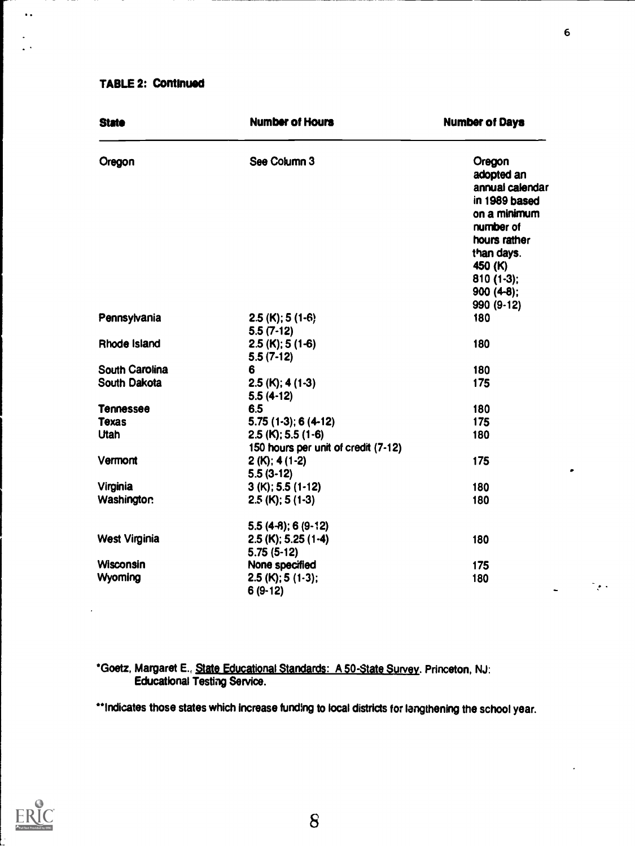## TABLE 2: Continued

 $\ddot{\phantom{1}}$  .

| <b>State</b>          | <b>Number of Hours</b>                                      | <b>Number of Days</b>                                                                                                                                          |
|-----------------------|-------------------------------------------------------------|----------------------------------------------------------------------------------------------------------------------------------------------------------------|
| Oregon                | See Column 3                                                | Oregon<br>adopted an<br>annual calendar<br>in 1989 based<br>on a minimum<br>number of<br>hours rather<br>than days.<br>450 (K)<br>$810(1-3)$ ;<br>$900(4-8)$ ; |
|                       |                                                             | 990 (9-12)                                                                                                                                                     |
| Pennsylvania          | $2.5$ (K); 5 (1-6)<br>$5.5(7-12)$                           | 180                                                                                                                                                            |
| Rhode Island          | $2.5$ (K); 5 (1-6)<br>$5.5(7-12)$                           | 180                                                                                                                                                            |
| <b>South Carolina</b> | 6                                                           | 180                                                                                                                                                            |
| South Dakota          | $2.5$ (K); 4 (1-3)<br>$5.5(4-12)$                           | 175                                                                                                                                                            |
| <b>Tennessee</b>      | 6.5                                                         | 180                                                                                                                                                            |
| <b>Texas</b>          | $5.75(1-3); 6(4-12)$                                        | 175                                                                                                                                                            |
| <b>Utah</b>           | $2.5$ (K); 5.5 (1-6)<br>150 hours per unit of credit (7-12) | 180                                                                                                                                                            |
| Vermont               | $2(K); 4(1-2)$<br>$5.5(3-12)$                               | 175                                                                                                                                                            |
| Virginia              | $3(K); 5.5(1-12)$                                           | 180                                                                                                                                                            |
| <b>Washington</b>     | $2.5$ (K); 5 (1-3)                                          | 180                                                                                                                                                            |
|                       | $5.5(4-8)$ ; 6 $(9-12)$                                     |                                                                                                                                                                |
| <b>West Virginia</b>  | $2.5$ (K); 5.25 (1-4)<br>$5.75(5-12)$                       | 180                                                                                                                                                            |
| <b>Wisconsin</b>      | None specified                                              | 175                                                                                                                                                            |
| Wyoming               | $2.5$ (K); 5 (1-3);<br>$6(9-12)$                            | 180                                                                                                                                                            |

\*Goetz, Margaret E., State Educational Standards: A 50-State Survey. Princeton, NJ: Educational Testing Service.

\*\* Indicates those states which increase funding to local districts for lengthening the school year.



8